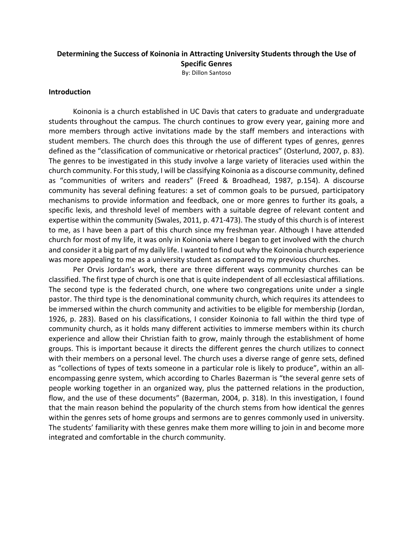# **Determining the Success of Koinonia in Attracting University Students through the Use of Specific Genres** By: Dillon Santoso

# **Introduction**

Koinonia is a church established in UC Davis that caters to graduate and undergraduate students throughout the campus. The church continues to grow every year, gaining more and more members through active invitations made by the staff members and interactions with student members. The church does this through the use of different types of genres, genres defined as the "classification of communicative or rhetorical practices" (Osterlund, 2007, p. 83). The genres to be investigated in this study involve a large variety of literacies used within the church community. For this study, I will be classifying Koinonia as a discourse community, defined as "communities of writers and readers" (Freed & Broadhead, 1987, p.154). A discourse community has several defining features: a set of common goals to be pursued, participatory mechanisms to provide information and feedback, one or more genres to further its goals, a specific lexis, and threshold level of members with a suitable degree of relevant content and expertise within the community (Swales, 2011, p. 471-473). The study of this church is of interest to me, as I have been a part of this church since my freshman year. Although I have attended church for most of my life, it was only in Koinonia where I began to get involved with the church and consider it a big part of my daily life. I wanted to find out why the Koinonia church experience was more appealing to me as a university student as compared to my previous churches.

Per Orvis Jordan's work, there are three different ways community churches can be classified. The first type of church is one that is quite independent of all ecclesiastical affiliations. The second type is the federated church, one where two congregations unite under a single pastor. The third type is the denominational community church, which requires its attendees to be immersed within the church community and activities to be eligible for membership (Jordan, 1926, p. 283). Based on his classifications, I consider Koinonia to fall within the third type of community church, as it holds many different activities to immerse members within its church experience and allow their Christian faith to grow, mainly through the establishment of home groups. This is important because it directs the different genres the church utilizes to connect with their members on a personal level. The church uses a diverse range of genre sets, defined as "collections of types of texts someone in a particular role is likely to produce", within an allencompassing genre system, which according to Charles Bazerman is "the several genre sets of people working together in an organized way, plus the patterned relations in the production, flow, and the use of these documents" (Bazerman, 2004, p. 318). In this investigation, I found that the main reason behind the popularity of the church stems from how identical the genres within the genres sets of home groups and sermons are to genres commonly used in university. The students' familiarity with these genres make them more willing to join in and become more integrated and comfortable in the church community.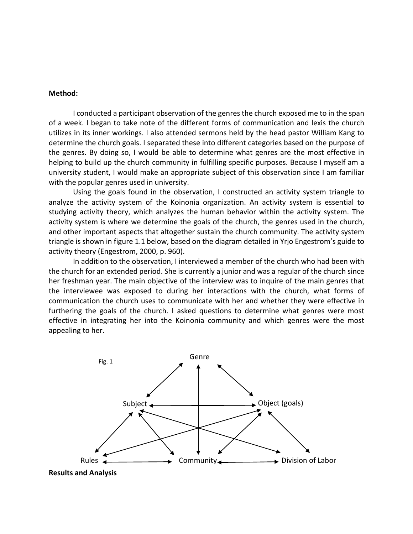## **Method:**

I conducted a participant observation of the genres the church exposed me to in the span of a week. I began to take note of the different forms of communication and lexis the church utilizes in its inner workings. I also attended sermons held by the head pastor William Kang to determine the church goals. I separated these into different categories based on the purpose of the genres. By doing so, I would be able to determine what genres are the most effective in helping to build up the church community in fulfilling specific purposes. Because I myself am a university student, I would make an appropriate subject of this observation since I am familiar with the popular genres used in university.

Using the goals found in the observation, I constructed an activity system triangle to analyze the activity system of the Koinonia organization. An activity system is essential to studying activity theory, which analyzes the human behavior within the activity system. The activity system is where we determine the goals of the church, the genres used in the church, and other important aspects that altogether sustain the church community. The activity system triangle is shown in figure 1.1 below, based on the diagram detailed in Yrjo Engestrom's guide to activity theory (Engestrom, 2000, p. 960).

In addition to the observation, I interviewed a member of the church who had been with the church for an extended period. She is currently a junior and was a regular of the church since her freshman year. The main objective of the interview was to inquire of the main genres that the interviewee was exposed to during her interactions with the church, what forms of communication the church uses to communicate with her and whether they were effective in furthering the goals of the church. I asked questions to determine what genres were most effective in integrating her into the Koinonia community and which genres were the most appealing to her.



**Results and Analysis**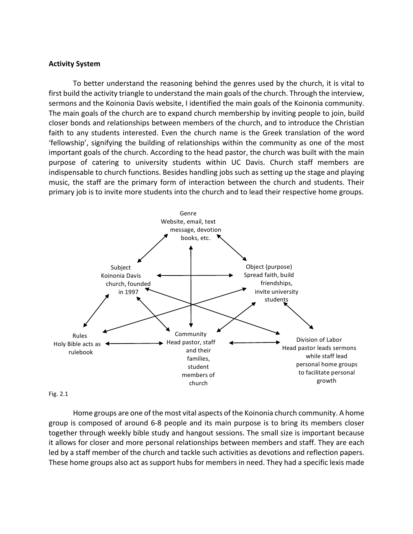# **Activity System**

To better understand the reasoning behind the genres used by the church, it is vital to first build the activity triangle to understand the main goals of the church. Through the interview, sermons and the Koinonia Davis website, I identified the main goals of the Koinonia community. The main goals of the church are to expand church membership by inviting people to join, build closer bonds and relationships between members of the church, and to introduce the Christian faith to any students interested. Even the church name is the Greek translation of the word 'fellowship', signifying the building of relationships within the community as one of the most important goals of the church. According to the head pastor, the church was built with the main purpose of catering to university students within UC Davis. Church staff members are indispensable to church functions. Besides handling jobs such as setting up the stage and playing music, the staff are the primary form of interaction between the church and students. Their primary job is to invite more students into the church and to lead their respective home groups.



#### Fig. 2.1

Home groups are one of the most vital aspects of the Koinonia church community. A home group is composed of around 6-8 people and its main purpose is to bring its members closer together through weekly bible study and hangout sessions. The small size is important because it allows for closer and more personal relationships between members and staff. They are each led by a staff member of the church and tackle such activities as devotions and reflection papers. These home groups also act as support hubs for members in need. They had a specific lexis made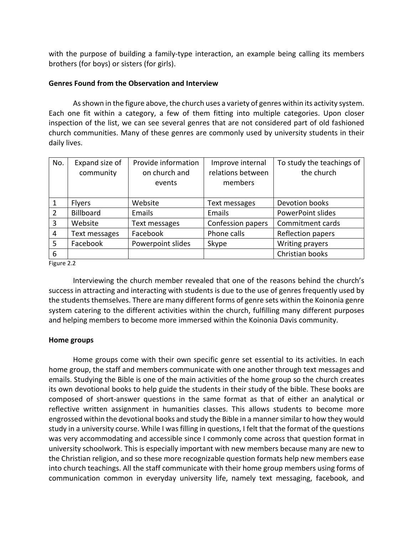with the purpose of building a family-type interaction, an example being calling its members brothers (for boys) or sisters (for girls).

# **Genres Found from the Observation and Interview**

As shown in the figure above, the church uses a variety of genres within its activity system. Each one fit within a category, a few of them fitting into multiple categories. Upon closer inspection of the list, we can see several genres that are not considered part of old fashioned church communities. Many of these genres are commonly used by university students in their daily lives.

| No.                                 | Expand size of<br>community | Provide information<br>on church and | Improve internal<br>relations between | To study the teachings of<br>the church |
|-------------------------------------|-----------------------------|--------------------------------------|---------------------------------------|-----------------------------------------|
|                                     |                             | events                               | members                               |                                         |
| 1                                   | <b>Flyers</b>               | Website                              | Text messages                         | Devotion books                          |
| $\overline{2}$                      | <b>Billboard</b>            | Emails                               | Emails                                | <b>PowerPoint slides</b>                |
| 3                                   | Website                     | Text messages                        | Confession papers                     | Commitment cards                        |
| 4                                   | Text messages               | Facebook                             | Phone calls                           | Reflection papers                       |
| 5                                   | Facebook                    | Powerpoint slides                    | Skype                                 | Writing prayers                         |
| 6                                   |                             |                                      |                                       | Christian books                         |
| $F: \ldots \rightarrow \mathcal{D}$ |                             |                                      |                                       |                                         |

Figure 2.2

Interviewing the church member revealed that one of the reasons behind the church's success in attracting and interacting with students is due to the use of genres frequently used by the students themselves. There are many different forms of genre sets within the Koinonia genre system catering to the different activities within the church, fulfilling many different purposes and helping members to become more immersed within the Koinonia Davis community.

# **Home groups**

Home groups come with their own specific genre set essential to its activities. In each home group, the staff and members communicate with one another through text messages and emails. Studying the Bible is one of the main activities of the home group so the church creates its own devotional books to help guide the students in their study of the bible. These books are composed of short-answer questions in the same format as that of either an analytical or reflective written assignment in humanities classes. This allows students to become more engrossed within the devotional books and study the Bible in a manner similar to how they would study in a university course. While I was filling in questions, I felt that the format of the questions was very accommodating and accessible since I commonly come across that question format in university schoolwork. This is especially important with new members because many are new to the Christian religion, and so these more recognizable question formats help new members ease into church teachings. All the staff communicate with their home group members using forms of communication common in everyday university life, namely text messaging, facebook, and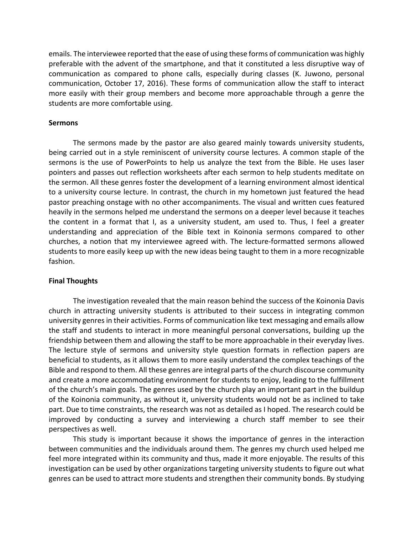emails. The interviewee reported that the ease of using these forms of communication was highly preferable with the advent of the smartphone, and that it constituted a less disruptive way of communication as compared to phone calls, especially during classes (K. Juwono, personal communication, October 17, 2016). These forms of communication allow the staff to interact more easily with their group members and become more approachable through a genre the students are more comfortable using.

# **Sermons**

The sermons made by the pastor are also geared mainly towards university students, being carried out in a style reminiscent of university course lectures. A common staple of the sermons is the use of PowerPoints to help us analyze the text from the Bible. He uses laser pointers and passes out reflection worksheets after each sermon to help students meditate on the sermon. All these genres foster the development of a learning environment almost identical to a university course lecture. In contrast, the church in my hometown just featured the head pastor preaching onstage with no other accompaniments. The visual and written cues featured heavily in the sermons helped me understand the sermons on a deeper level because it teaches the content in a format that I, as a university student, am used to. Thus, I feel a greater understanding and appreciation of the Bible text in Koinonia sermons compared to other churches, a notion that my interviewee agreed with. The lecture-formatted sermons allowed students to more easily keep up with the new ideas being taught to them in a more recognizable fashion.

# **Final Thoughts**

The investigation revealed that the main reason behind the success of the Koinonia Davis church in attracting university students is attributed to their success in integrating common university genres in their activities. Forms of communication like text messaging and emails allow the staff and students to interact in more meaningful personal conversations, building up the friendship between them and allowing the staff to be more approachable in their everyday lives. The lecture style of sermons and university style question formats in reflection papers are beneficial to students, as it allows them to more easily understand the complex teachings of the Bible and respond to them. All these genres are integral parts of the church discourse community and create a more accommodating environment for students to enjoy, leading to the fulfillment of the church's main goals. The genres used by the church play an important part in the buildup of the Koinonia community, as without it, university students would not be as inclined to take part. Due to time constraints, the research was not as detailed as I hoped. The research could be improved by conducting a survey and interviewing a church staff member to see their perspectives as well.

This study is important because it shows the importance of genres in the interaction between communities and the individuals around them. The genres my church used helped me feel more integrated within its community and thus, made it more enjoyable. The results of this investigation can be used by other organizations targeting university students to figure out what genres can be used to attract more students and strengthen their community bonds. By studying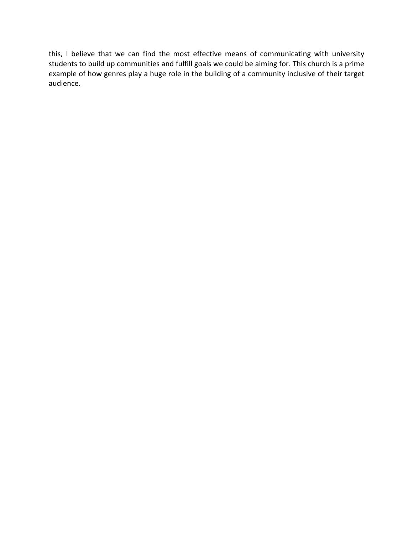this, I believe that we can find the most effective means of communicating with university students to build up communities and fulfill goals we could be aiming for. This church is a prime example of how genres play a huge role in the building of a community inclusive of their target audience.